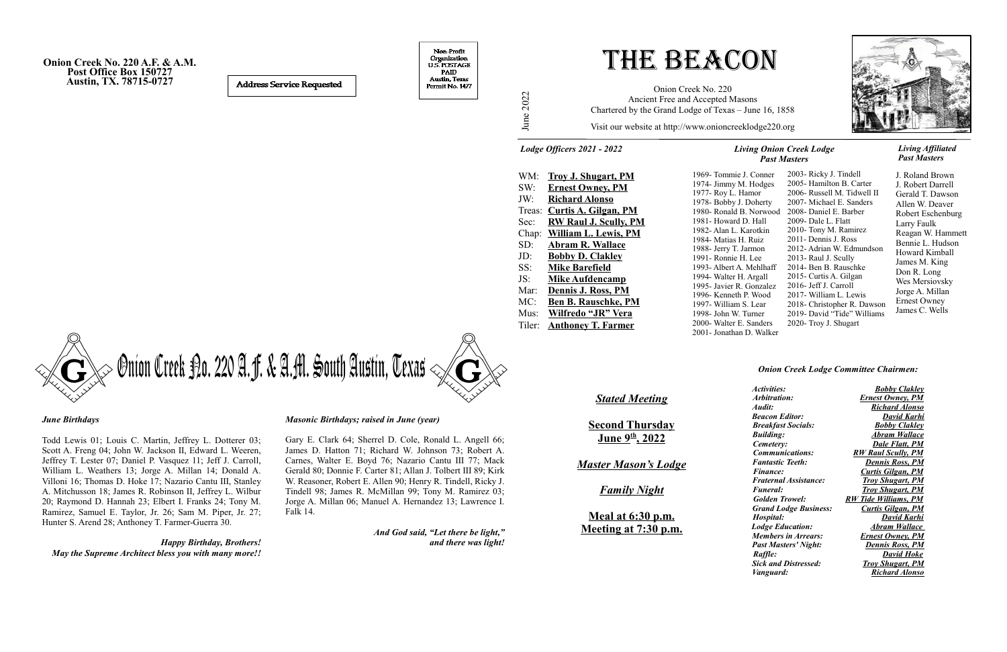Ju ne

2022

Visit our website at http://www.onioncreeklodge220.org

# The Beacon

Onion Creek No. 220 Ancient Free and Accepted Masons Chartered by the Grand Lodge of Texas – June 16, 1858

**Onion Creek No. 220 A.F. & A.M. Post Office Box 150727 Austin, TX. 78715-0727** 

**Address Service Requested** 

Non-Profit Organization U.S. POSTAGE PAID Austin, Texas Permit No. 1477

> 1974- Jimmy M. Hodges 1977- Roy L. Hamor 1978- Bobby J. Doherty 1980- Ronald B. Norwood 1981- Howard D. Hall 1982- Alan L. Karotkin 1984- Matias H. Ruiz 1988- Jerry T. Jarmon 1991- Ronnie H. Lee 1993- Albert A. Mehlhaff 1994- Walter H. Argall 1995- Javier R. Gonzalez 1996- Kenneth P. Wood 1997- William S. Lear 1998- John W. Turner 2000- Walter E. Sanders







J. Roland Brown J. Robert Darrell Gerald T. Dawson Allen W. Deaver Robert Eschenburg Larry Faulk Reagan W. Hammett Bennie L. Hudson Howard Kimball James M. King Don R. Long Wes Mersiovsky Jorge A. Millan Ernest Owney James C. Wells

#### *Living Onion Creek Lodge Past Masters*

#### *Living Affiliated Past Masters*

*Lodge Officers 2021 - 2022*

#### *Onion Creek Lodge Committee Chairmen:*

| <i>Activities:</i>           | <b>Bobby Clakley</b>        |
|------------------------------|-----------------------------|
| Arbitration:                 | <b>Ernest Owney, PM</b>     |
| Audit:                       | <b>Richard Alonso</b>       |
| <b>Beacon Editor:</b>        | David Karhi                 |
| <b>Breakfast Socials:</b>    | <b>Bobby Clakley</b>        |
| <b>Building:</b>             | Abram Wallace               |
| Cemetery:                    | Dale Flatt, PM              |
| <i>Communications:</i>       | <b>RW Raul Scully, PM</b>   |
| <b>Fantastic Teeth:</b>      | <b>Dennis Ross, PM</b>      |
| <i>Finance:</i>              | <b>Curtis Gilgan, PM</b>    |
| <b>Fraternal Assistance:</b> | <b>Troy Shugart, PM</b>     |
| <i><b>Funeral:</b></i>       | <b>Troy Shugart, PM</b>     |
| <b>Golden Trowel:</b>        | <b>RW Tide Williams, PM</b> |
| <b>Grand Lodge Business:</b> | <b>Curtis Gilgan, PM</b>    |
| Hospital:                    | David Karhi                 |
| <b>Lodge Education:</b>      | Abram Wallace               |
| <b>Members in Arrears:</b>   | <b>Ernest Owney</b> , PM    |
| <b>Past Masters' Night:</b>  | <u>Dennis Ross, PM</u>      |
| Raffle:                      | <b>David Hoke</b>           |
| <b>Sick and Distressed:</b>  | <b>Troy Shugart, PM</b>     |
| <i>Vanguard:</i>             | <b>Richard Alonso</b>       |
|                              |                             |

#### *June Birthdays*

Todd Lewis 01; Louis C. Martin, Jeffrey L. Dotterer 03; Scott A. Freng 04; John W. Jackson II, Edward L. Weeren, Jeffrey T. Lester 07; Daniel P. Vasquez 11; Jeff J. Carroll, William L. Weathers 13; Jorge A. Millan 14; Donald A. Villoni 16; Thomas D. Hoke 17; Nazario Cantu III, Stanley A. Mitchusson 18; James R. Robinson II, Jeffrey L. Wilbur 20; Raymond D. Hannah 23; Elbert I. Franks 24; Tony M. Ramirez, Samuel E. Taylor, Jr. 26; Sam M. Piper, Jr. 27; Hunter S. Arend 28; Anthoney T. Farmer-Guerra 30.

*Happy Birthday, Brothers! May the Supreme Architect bless you with many more!!*

#### *Masonic Birthdays; raised in June (year)*

Gary E. Clark 64; Sherrel D. Cole, Ronald L. Angell 66; James D. Hatton 71; Richard W. Johnson 73; Robert A. Carnes, Walter E. Boyd 76; Nazario Cantu III 77; Mack Gerald 80; Donnie F. Carter 81; Allan J. Tolbert III 89; Kirk W. Reasoner, Robert E. Allen 90; Henry R. Tindell, Ricky J. Tindell 98; James R. McMillan 99; Tony M. Ramirez 03; Jorge A. Millan 06; Manuel A. Hernandez 13; Lawrence I. Falk 14.

> *And God said, "Let there be light," and there was light!*

| WM:    | <b>Troy J. Shugart, PM</b>   |
|--------|------------------------------|
| SW:    | <b>Ernest Owney, PM</b>      |
| JW:    | <b>Richard Alonso</b>        |
| Treas: | <b>Curtis A. Gilgan, PM</b>  |
| Sec:   | <b>RW Raul J. Scully, PM</b> |
| Chap:  | <b>William L. Lewis, PM</b>  |
| SD:    | <b>Abram R. Wallace</b>      |
| JD:    | <b>Bobby D. Clakley</b>      |
| SS:    | <b>Mike Barefield</b>        |
| JS:    | <b>Mike Aufdencamp</b>       |
| Mar:   | Dennis J. Ross, PM           |
| MC:    | <b>Ben B. Rauschke, PM</b>   |
| Mus:   | Wilfredo "JR" Vera           |
| Tiler: | <b>Anthoney T. Farmer</b>    |
|        |                              |

### *Stated Meeting*

**Second Thursday June 9th, 2022**

*Master Mason's Lodge*

*Family Night*

**Meal at 6:30 p.m. Meeting at 7:30 p.m.**